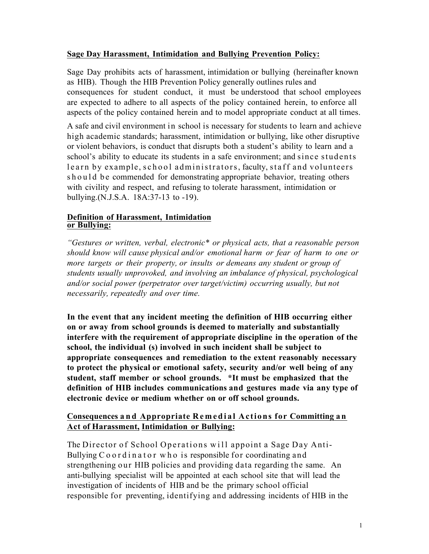## **Sage Day Harassment, Intimidation and Bullying Prevention Policy:**

Sage Day prohibits acts of harassment, intimidation or bullying (hereinafter known as HIB). Though the HIB Prevention Policy generally outlines rules and consequences for student conduct, it must be understood that school employees are expected to adhere to all aspects of the policy contained herein, to enforce all aspects of the policy contained herein and to model appropriate conduct at all times.

A safe and civil environment in school is necessary for students to learn and achieve high academic standards; harassment, intimidation or bullying, like other disruptive or violent behaviors, is conduct that disrupts both a student's ability to learn and a school's ability to educate its students in a safe environment; and since students learn by example, school administrators, faculty, staff and volunteers should be commended for demonstrating appropriate behavior, treating others with civility and respect, and refusing to tolerate harassment, intimidation or bullying.(N.J.S.A. 18A:37-13 to -19).

### **Definition of Harassment, Intimidation or Bullying:**

*"Gestures or written, verbal, electronic\* or physical acts, that a reasonable person should know will cause physical and/or emotional harm or fear of harm to one or more targets or their property, or insults or demeans any student or group of students usually unprovoked, and involving an imbalance of physical, psychological and/or social power (perpetrator over target/victim) occurring usually, but not necessarily, repeatedly and over time.*

**In the event that any incident meeting the definition of HIB occurring either on or away from school grounds is deemed to materially and substantially interfere with the requirement of appropriate discipline in the operation of the school, the individual (s) involved in such incident shall be subject to appropriate consequences and remediation to the extent reasonably necessary to protect the physical or emotional safety, security and/or well being of any student, staff member or school grounds. \*It must be emphasized that the definition of HIB includes communications and gestures made via any type of electronic device or medium whether on or off school grounds.**

## **Consequences and Appropriate Remedial Actions for Committing a n Act of Harassment, Intimidation or Bullying:**

The Director of School Operations will appoint a Sage Day Anti-Bullying Coordinator who is responsible for coordinating and strengthening our HIB policies and providing data regarding the same. An anti-bullying specialist will be appointed at each school site that will lead the investigation of incidents of HIB and be the primary school official responsible for preventing, identifying and addressing incidents of HIB in the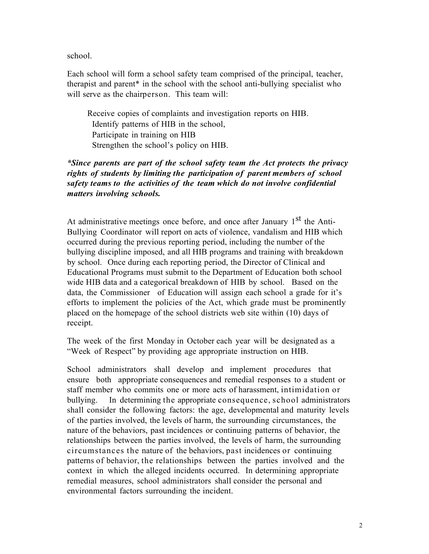school.

Each school will form a school safety team comprised of the principal, teacher, therapist and parent\* in the school with the school anti-bullying specialist who will serve as the chairperson. This team will:

 Receive copies of complaints and investigation reports on HIB. Identify patterns of HIB in the school, Participate in training on HIB Strengthen the school's policy on HIB.

## *\*Since parents are part of the school safety team the Act protects the privacy rights of students by limiting the participation of parent members of school safety teams to the activities of the team which do not involve confidential matters involving schools.*

At administrative meetings once before, and once after January 1<sup>st</sup> the Anti-Bullying Coordinator will report on acts of violence, vandalism and HIB which occurred during the previous reporting period, including the number of the bullying discipline imposed, and all HIB programs and training with breakdown by school. Once during each reporting period, the Director of Clinical and Educational Programs must submit to the Department of Education both school wide HIB data and a categorical breakdown of HIB by school. Based on the data, the Commissioner of Education will assign each school a grade for it's efforts to implement the policies of the Act, which grade must be prominently placed on the homepage of the school districts web site within (10) days of receipt.

The week of the first Monday in October each year will be designated as a "Week of Respect" by providing age appropriate instruction on HIB.

School administrators shall develop and implement procedures that ensure both appropriate consequences and remedial responses to a student or staff member who commits one or more acts of harassment, intimidation or bullying. In determining the appropriate consequence, school administrators shall consider the following factors: the age, developmental and maturity levels of the parties involved, the levels of harm, the surrounding circumstances, the nature of the behaviors, past incidences or continuing patterns of behavior, the relationships between the parties involved, the levels of harm, the surrounding circumstances the nature of the behaviors, past incidences or continuing patterns of behavior, the relationships between the parties involved and the context in which the alleged incidents occurred. In determining appropriate remedial measures, school administrators shall consider the personal and environmental factors surrounding the incident.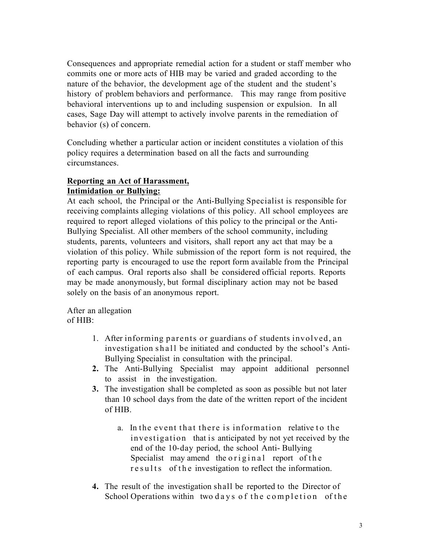Consequences and appropriate remedial action for a student or staff member who commits one or more acts of HIB may be varied and graded according to the nature of the behavior, the development age of the student and the student's history of problem behaviors and performance. This may range from positive behavioral interventions up to and including suspension or expulsion. In all cases, Sage Day will attempt to actively involve parents in the remediation of behavior (s) of concern.

Concluding whether a particular action or incident constitutes a violation of this policy requires a determination based on all the facts and surrounding circumstances.

## **Reporting an Act of Harassment, Intimidation or Bullying:**

At each school, the Principal or the Anti-Bullying Specialist is responsible for receiving complaints alleging violations of this policy. All school employees are required to report alleged violations of this policy to the principal or the Anti-Bullying Specialist. All other members of the school community, including students, parents, volunteers and visitors, shall report any act that may be a violation of this policy. While submission of the report form is not required, the reporting party is encouraged to use the report form available from the Principal of each campus. Oral reports also shall be considered official reports. Reports may be made anonymously, but formal disciplinary action may not be based solely on the basis of an anonymous report.

After an allegation of HIB:

- 1. After informing parents or guardians of students involved, an investigation shall be initiated and conducted by the school's Anti-Bullying Specialist in consultation with the principal.
- **2.** The Anti-Bullying Specialist may appoint additional personnel to assist in the investigation.
- **3.** The investigation shall be completed as soon as possible but not later than 10 school days from the date of the written report of the incident of HIB.
	- a. In the event that there is information relative to the investigation that is anticipated by not yet received by the end of the 10-day period, the school Anti- Bullying Specialist may amend the original report of the results of the investigation to reflect the information.
- **4.** The result of the investigation shall be reported to the Director of School Operations within two days of the completion of the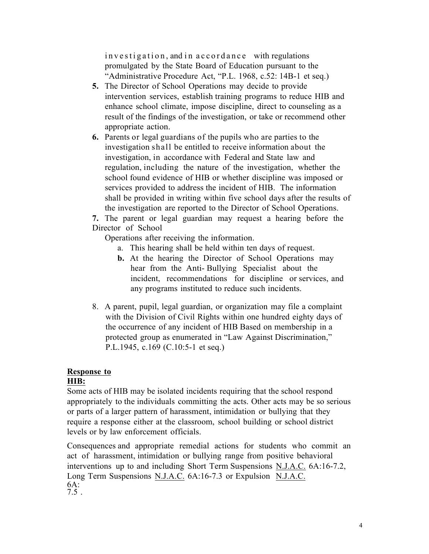investigation, and in accordance with regulations promulgated by the State Board of Education pursuant to the "Administrative Procedure Act, "P.L. 1968, c.52: 14B-1 et seq.)

- **5.** The Director of School Operations may decide to provide intervention services, establish training programs to reduce HIB and enhance school climate, impose discipline, direct to counseling as a result of the findings of the investigation, or take or recommend other appropriate action.
- **6.** Parents or legal guardians of the pupils who are parties to the investigation shall be entitled to receive information about the investigation, in accordance with Federal and State law and regulation, including the nature of the investigation, whether the school found evidence of HIB or whether discipline was imposed or services provided to address the incident of HIB. The information shall be provided in writing within five school days after the results of the investigation are reported to the Director of School Operations.

**7.** The parent or legal guardian may request a hearing before the Director of School

Operations after receiving the information.

- a. This hearing shall be held within ten days of request.
- **b.** At the hearing the Director of School Operations may hear from the Anti- Bullying Specialist about the incident, recommendations for discipline or services, and any programs instituted to reduce such incidents.
- 8. A parent, pupil, legal guardian, or organization may file a complaint with the Division of Civil Rights within one hundred eighty days of the occurrence of any incident of HIB Based on membership in a protected group as enumerated in "Law Against Discrimination," P.L.1945, c.169 (C.10:5-1 et seq.)

# **Response to**

## **HIB:**

Some acts of HIB may be isolated incidents requiring that the school respond appropriately to the individuals committing the acts. Other acts may be so serious or parts of a larger pattern of harassment, intimidation or bullying that they require a response either at the classroom, school building or school district levels or by law enforcement officials.

Consequences and appropriate remedial actions for students who commit an act of harassment, intimidation or bullying range from positive behavioral interventions up to and including Short Term Suspensions N.J.A.C. 6A:16-7.2, Long Term Suspensions N.J.A.C. 6A:16-7.3 or Expulsion N.J.A.C.  $6A:7.5$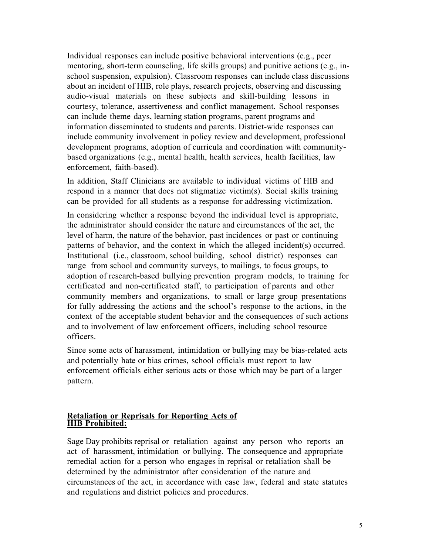Individual responses can include positive behavioral interventions (e.g., peer mentoring, short-term counseling, life skills groups) and punitive actions (e.g., inschool suspension, expulsion). Classroom responses can include class discussions about an incident of HIB, role plays, research projects, observing and discussing audio-visual materials on these subjects and skill-building lessons in courtesy, tolerance, assertiveness and conflict management. School responses can include theme days, learning station programs, parent programs and information disseminated to students and parents. District-wide responses can include community involvement in policy review and development, professional development programs, adoption of curricula and coordination with communitybased organizations (e.g., mental health, health services, health facilities, law enforcement, faith-based).

In addition, Staff Clinicians are available to individual victims of HIB and respond in a manner that does not stigmatize victim(s). Social skills training can be provided for all students as a response for addressing victimization.

In considering whether a response beyond the individual level is appropriate, the administrator should consider the nature and circumstances of the act, the level of harm, the nature of the behavior, past incidences or past or continuing patterns of behavior, and the context in which the alleged incident(s) occurred. Institutional (i.e., classroom, school building, school district) responses can range from school and community surveys, to mailings, to focus groups, to adoption of research-based bullying prevention program models, to training for certificated and non-certificated staff, to participation of parents and other community members and organizations, to small or large group presentations for fully addressing the actions and the school's response to the actions, in the context of the acceptable student behavior and the consequences of such actions and to involvement of law enforcement officers, including school resource officers.

Since some acts of harassment, intimidation or bullying may be bias-related acts and potentially hate or bias crimes, school officials must report to law enforcement officials either serious acts or those which may be part of a larger pattern.

#### **Retaliation or Reprisals for Reporting Acts of HIB Prohibited:**

Sage Day prohibits reprisal or retaliation against any person who reports an act of harassment, intimidation or bullying. The consequence and appropriate remedial action for a person who engages in reprisal or retaliation shall be determined by the administrator after consideration of the nature and circumstances of the act, in accordance with case law, federal and state statutes and regulations and district policies and procedures.